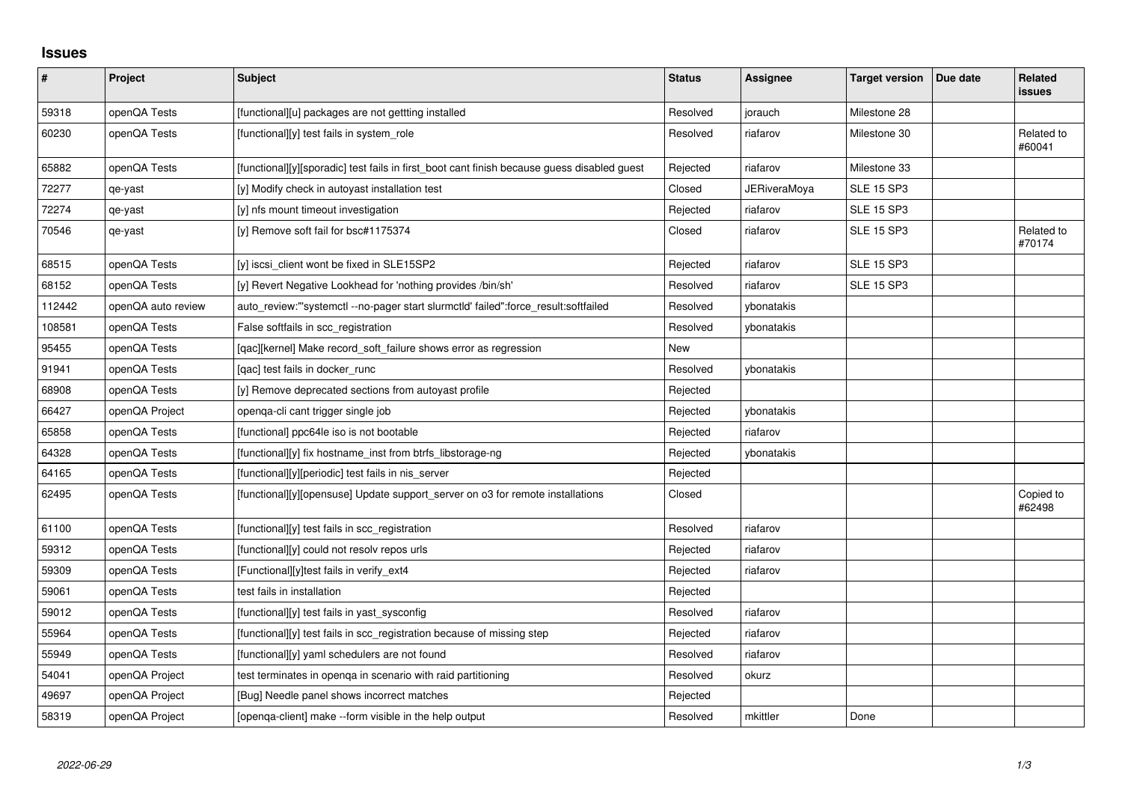## **Issues**

| $\sharp$ | Project            | <b>Subject</b>                                                                              | <b>Status</b> | <b>Assignee</b>     | <b>Target version</b> | Due date | Related<br><b>issues</b> |
|----------|--------------------|---------------------------------------------------------------------------------------------|---------------|---------------------|-----------------------|----------|--------------------------|
| 59318    | openQA Tests       | [functional][u] packages are not gettting installed                                         | Resolved      | iorauch             | Milestone 28          |          |                          |
| 60230    | openQA Tests       | [functional][y] test fails in system_role                                                   | Resolved      | riafarov            | Milestone 30          |          | Related to<br>#60041     |
| 65882    | openQA Tests       | [functional][y][sporadic] test fails in first_boot cant finish because guess disabled guest | Rejected      | riafarov            | Milestone 33          |          |                          |
| 72277    | qe-yast            | [y] Modify check in autoyast installation test                                              | Closed        | <b>JERiveraMoya</b> | <b>SLE 15 SP3</b>     |          |                          |
| 72274    | qe-yast            | [y] nfs mount timeout investigation                                                         | Rejected      | riafarov            | <b>SLE 15 SP3</b>     |          |                          |
| 70546    | qe-yast            | [y] Remove soft fail for bsc#1175374                                                        | Closed        | riafarov            | <b>SLE 15 SP3</b>     |          | Related to<br>#70174     |
| 68515    | openQA Tests       | [y] iscsi client wont be fixed in SLE15SP2                                                  | Rejected      | riafarov            | <b>SLE 15 SP3</b>     |          |                          |
| 68152    | openQA Tests       | [y] Revert Negative Lookhead for 'nothing provides /bin/sh'                                 | Resolved      | riafarov            | <b>SLE 15 SP3</b>     |          |                          |
| 112442   | openQA auto review | auto_review:"'systemctl --no-pager start slurmctld' failed":force_result:softfailed         | Resolved      | vbonatakis          |                       |          |                          |
| 108581   | openQA Tests       | False softfails in scc_registration                                                         | Resolved      | ybonatakis          |                       |          |                          |
| 95455    | openQA Tests       | [qac][kernel] Make record_soft_failure shows error as regression                            | New           |                     |                       |          |                          |
| 91941    | openQA Tests       | [gac] test fails in docker runc                                                             | Resolved      | ybonatakis          |                       |          |                          |
| 68908    | openQA Tests       | [y] Remove deprecated sections from autoyast profile                                        | Rejected      |                     |                       |          |                          |
| 66427    | openQA Project     | openqa-cli cant trigger single job                                                          | Rejected      | ybonatakis          |                       |          |                          |
| 65858    | openQA Tests       | [functional] ppc64le iso is not bootable                                                    | Rejected      | riafarov            |                       |          |                          |
| 64328    | openQA Tests       | [functional][y] fix hostname inst from btrfs libstorage-ng                                  | Rejected      | ybonatakis          |                       |          |                          |
| 64165    | openQA Tests       | [functional][y][periodic] test fails in nis server                                          | Rejected      |                     |                       |          |                          |
| 62495    | openQA Tests       | [functional][y][opensuse] Update support_server on o3 for remote installations              | Closed        |                     |                       |          | Copied to<br>#62498      |
| 61100    | openQA Tests       | [functional][y] test fails in scc_registration                                              | Resolved      | riafarov            |                       |          |                          |
| 59312    | openQA Tests       | [functional][y] could not resolv repos urls                                                 | Rejected      | riafarov            |                       |          |                          |
| 59309    | openQA Tests       | [Functional][y]test fails in verify_ext4                                                    | Rejected      | riafarov            |                       |          |                          |
| 59061    | openQA Tests       | test fails in installation                                                                  | Rejected      |                     |                       |          |                          |
| 59012    | openQA Tests       | [functional][y] test fails in yast sysconfig                                                | Resolved      | riafarov            |                       |          |                          |
| 55964    | openQA Tests       | [functional][y] test fails in scc_registration because of missing step                      | Rejected      | riafarov            |                       |          |                          |
| 55949    | openQA Tests       | [functional][y] yaml schedulers are not found                                               | Resolved      | riafarov            |                       |          |                          |
| 54041    | openQA Project     | test terminates in openga in scenario with raid partitioning                                | Resolved      | okurz               |                       |          |                          |
| 49697    | openQA Project     | [Bug] Needle panel shows incorrect matches                                                  | Rejected      |                     |                       |          |                          |
| 58319    | openQA Project     | [openga-client] make --form visible in the help output                                      | Resolved      | mkittler            | Done                  |          |                          |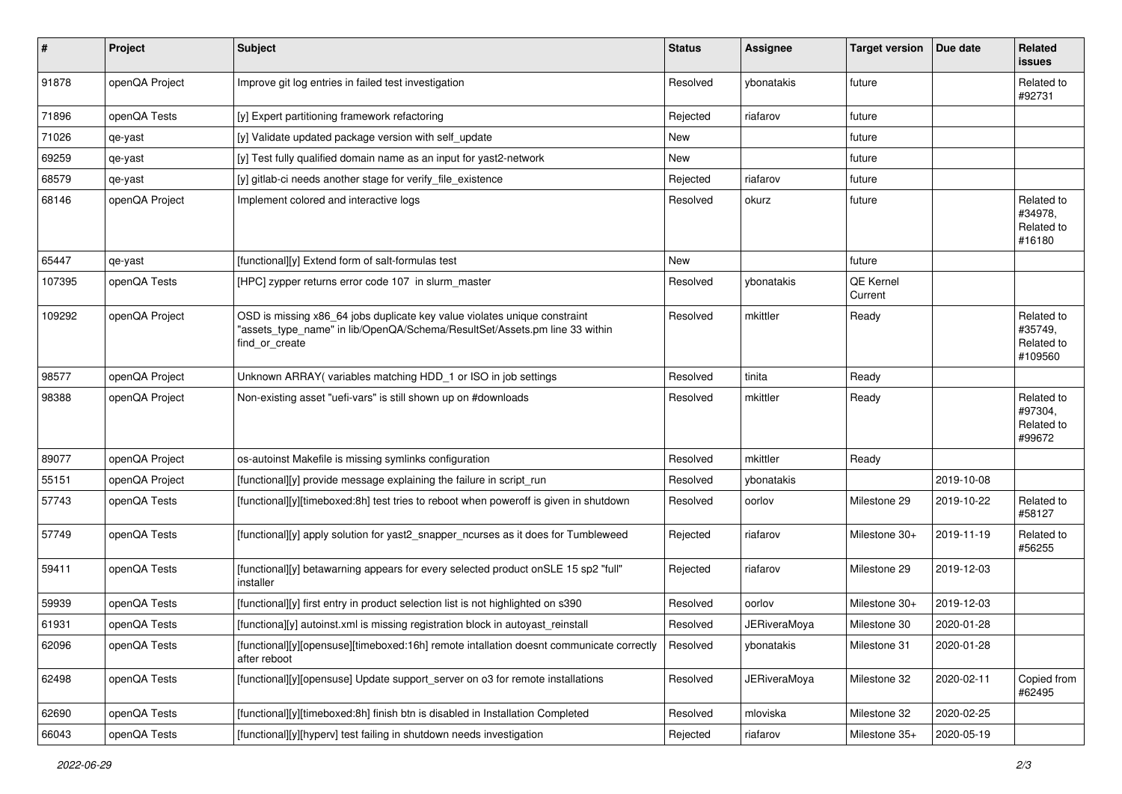| $\sharp$ | Project        | Subject                                                                                                                                                                   | <b>Status</b> | <b>Assignee</b>     | <b>Target version</b> | Due date   | Related<br>issues                              |
|----------|----------------|---------------------------------------------------------------------------------------------------------------------------------------------------------------------------|---------------|---------------------|-----------------------|------------|------------------------------------------------|
| 91878    | openQA Project | Improve git log entries in failed test investigation                                                                                                                      | Resolved      | ybonatakis          | future                |            | Related to<br>#92731                           |
| 71896    | openQA Tests   | [y] Expert partitioning framework refactoring                                                                                                                             | Rejected      | riafarov            | future                |            |                                                |
| 71026    | qe-yast        | [y] Validate updated package version with self_update                                                                                                                     | New           |                     | future                |            |                                                |
| 69259    | qe-yast        | [y] Test fully qualified domain name as an input for yast2-network                                                                                                        | New           |                     | future                |            |                                                |
| 68579    | qe-yast        | [y] gitlab-ci needs another stage for verify_file_existence                                                                                                               | Rejected      | riafarov            | future                |            |                                                |
| 68146    | openQA Project | Implement colored and interactive logs                                                                                                                                    | Resolved      | okurz               | future                |            | Related to<br>#34978,<br>Related to<br>#16180  |
| 65447    | qe-yast        | [functional][y] Extend form of salt-formulas test                                                                                                                         | New           |                     | future                |            |                                                |
| 107395   | openQA Tests   | [HPC] zypper returns error code 107 in slurm_master                                                                                                                       | Resolved      | ybonatakis          | QE Kernel<br>Current  |            |                                                |
| 109292   | openQA Project | OSD is missing x86_64 jobs duplicate key value violates unique constraint<br>"assets type name" in lib/OpenQA/Schema/ResultSet/Assets.pm line 33 within<br>find_or_create | Resolved      | mkittler            | Ready                 |            | Related to<br>#35749,<br>Related to<br>#109560 |
| 98577    | openQA Project | Unknown ARRAY(variables matching HDD_1 or ISO in job settings                                                                                                             | Resolved      | tinita              | Ready                 |            |                                                |
| 98388    | openQA Project | Non-existing asset "uefi-vars" is still shown up on #downloads                                                                                                            | Resolved      | mkittler            | Ready                 |            | Related to<br>#97304,<br>Related to<br>#99672  |
| 89077    | openQA Project | os-autoinst Makefile is missing symlinks configuration                                                                                                                    | Resolved      | mkittler            | Ready                 |            |                                                |
| 55151    | openQA Project | [functional][y] provide message explaining the failure in script_run                                                                                                      | Resolved      | ybonatakis          |                       | 2019-10-08 |                                                |
| 57743    | openQA Tests   | [functional][y][timeboxed:8h] test tries to reboot when poweroff is given in shutdown                                                                                     | Resolved      | oorlov              | Milestone 29          | 2019-10-22 | Related to<br>#58127                           |
| 57749    | openQA Tests   | [functional][y] apply solution for yast2_snapper_ncurses as it does for Tumbleweed                                                                                        | Rejected      | riafarov            | Milestone 30+         | 2019-11-19 | Related to<br>#56255                           |
| 59411    | openQA Tests   | [functional][y] betawarning appears for every selected product on SLE 15 sp2 "full"<br>installer                                                                          | Rejected      | riafarov            | Milestone 29          | 2019-12-03 |                                                |
| 59939    | openQA Tests   | [functional][y] first entry in product selection list is not highlighted on s390                                                                                          | Resolved      | oorlov              | Milestone 30+         | 2019-12-03 |                                                |
| 61931    | openQA Tests   | [functiona][y] autoinst.xml is missing registration block in autoyast reinstall                                                                                           | Resolved      | <b>JERiveraMoya</b> | Milestone 30          | 2020-01-28 |                                                |
| 62096    | openQA Tests   | [functional][y][opensuse][timeboxed:16h] remote intallation doesnt communicate correctly<br>after reboot                                                                  | Resolved      | ybonatakis          | Milestone 31          | 2020-01-28 |                                                |
| 62498    | openQA Tests   | [functional][y][opensuse] Update support_server on o3 for remote installations                                                                                            | Resolved      | <b>JERiveraMoya</b> | Milestone 32          | 2020-02-11 | Copied from<br>#62495                          |
| 62690    | openQA Tests   | [functional][y][timeboxed:8h] finish btn is disabled in Installation Completed                                                                                            | Resolved      | mloviska            | Milestone 32          | 2020-02-25 |                                                |
| 66043    | openQA Tests   | [functional][y][hyperv] test failing in shutdown needs investigation                                                                                                      | Rejected      | riafarov            | Milestone 35+         | 2020-05-19 |                                                |